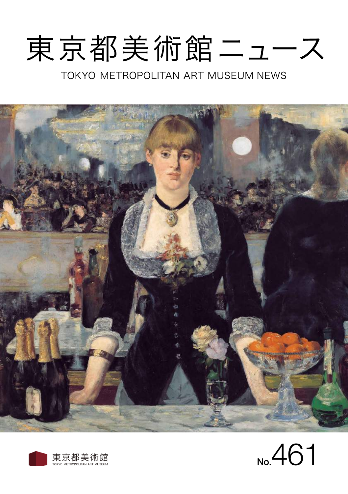# 東京都美術館ニュース

TOKYO METROPOLITAN ART MUSEUM NEWS





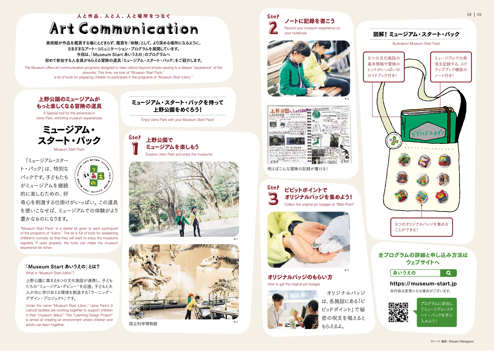# 人と作品、人と人、人と場所をつなぐ **Art Communication**

美術館が作品を鑑賞する場にとどまらず、鑑賞を「体験」として、より深める場所になるように、 さまざまなアート・コミュニケーション・プログラムを展開しています。 今回は、「Museum Start あいうえの」のプログラムへ 初めて参加する人全員がもらえる冒険の道具「ミュージアム・スタート・パック」をご紹介します。

The Museum offers art communication programs designed to take visitors beyond simple viewing to a deeper "experience" of the artworks. This time, we look at "Museum Start Pack," a kit of tools for preparing children to participate in the programs of "Museum Start iUeno."



Museum Start Pack

 「ミュージアム・スター ト・パック」は、特別な パックです。子どもたち がミュージアムを継続 的に楽しむための、好

いあら

奇心を刺激する仕掛けがいっぱい。この道具 を使いこなせば、ミュージアムでの体験がより 豊かなものになります。

"Museum Start Pack" is a starter kit given to each participant of the programs of "iUeno." The kit is full of tools for awakening children's curiosity so that they will want to enjoy the museums regularly. If used properly, the tools can make the museum experience far richer.

# 「Museum Start あいうえの」とは?

What is "Museum Start il leno"?

上野公園に集まる9つの文化施設が連携し、子ども たちの"ミュージアム・デビュー"を応援。子どもと大 人が共に学びあえる環境を創造する「ラーニング・ デザイン・プロジェクト」です。

Under the name "Museum Start iUeno," Ueno Park's 9 cultural facilities are working together to support children in their "museum debut." This "Learning Design Project" is aimed at creating an environment where children and adults can learn together.

ミュージアム・スタート・パックを持って 上野公園をめぐろう!

Enjoy Ueno Park with your Museum Start Pack!

Step Explore Ueno Park and enjoy the museums 上野公園で ミュージアムを楽しもう





国立科学博物館







例えばこんな冒険の記録が書ける!



オリジナルバッジのもらい方 How to get the original pin badges



 オリジナルバッジ は、各施設にある「ビ ビッドポイント」で秘 密の呪文を唱えると もらえるよ。

\*4



08 09





※内容は変更になる場合がございます。 https://museum-start.jp



 $\Omega$